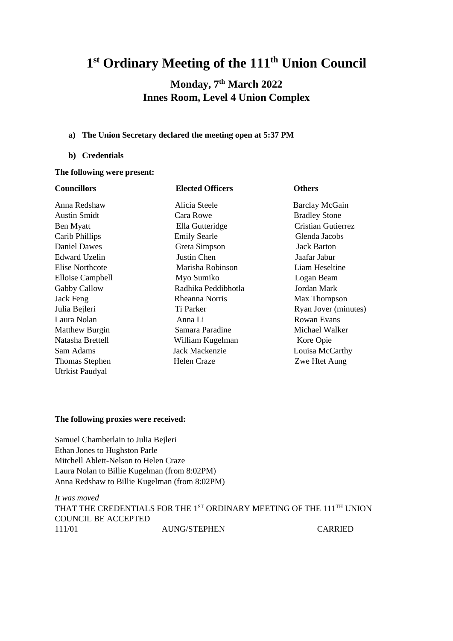# **1 st Ordinary Meeting of the 111 th Union Council**

# **Monday, 7 th March 2022 Innes Room, Level 4 Union Complex**

#### **a) The Union Secretary declared the meeting open at 5:37 PM**

#### **b) Credentials**

# **The following were present:**

| <b>Councillors</b>    | <b>Elected Officers</b> | <b>Others</b>        |
|-----------------------|-------------------------|----------------------|
| Anna Redshaw          | Alicia Steele           | Barclay McGain       |
| <b>Austin Smidt</b>   | Cara Rowe               | <b>Bradley Stone</b> |
| Ben Myatt             | Ella Gutteridge         | Cristian Gutierrez   |
| Carib Phillips        | <b>Emily Searle</b>     | Glenda Jacobs        |
| <b>Daniel Dawes</b>   | Greta Simpson           | Jack Barton          |
| Edward Uzelin         | Justin Chen             | Jaafar Jabur         |
| Elise Northcote       | Marisha Robinson        | Liam Heseltine       |
| Elloise Campbell      | Myo Sumiko              | Logan Beam           |
| Gabby Callow          | Radhika Peddibhotla     | Jordan Mark          |
| Jack Feng             | Rheanna Norris          | Max Thompson         |
| Julia Bejleri         | Ti Parker               | Ryan Jover (minutes) |
| Laura Nolan           | Anna Li                 | <b>Rowan Evans</b>   |
| <b>Matthew Burgin</b> | Samara Paradine         | Michael Walker       |
| Natasha Brettell      | William Kugelman        | Kore Opie            |
| Sam Adams             | Jack Mackenzie          | Louisa McCarthy      |
| Thomas Stephen        | Helen Craze             | Zwe Htet Aung        |
| Utrkist Paudyal       |                         |                      |

#### **The following proxies were received:**

Samuel Chamberlain to Julia Bejleri Ethan Jones to Hughston Parle Mitchell Ablett-Nelson to Helen Craze Laura Nolan to Billie Kugelman (from 8:02PM) Anna Redshaw to Billie Kugelman (from 8:02PM)

*It was moved* THAT THE CREDENTIALS FOR THE 1<sup>ST</sup> ORDINARY MEETING OF THE 111<sup>TH</sup> UNION COUNCIL BE ACCEPTED 111/01 AUNG/STEPHEN CARRIED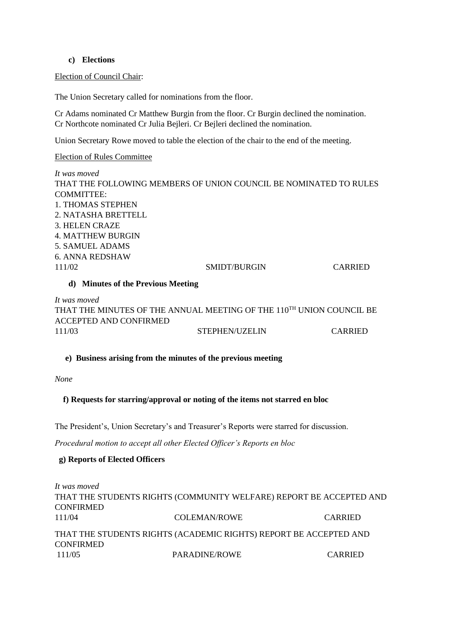#### **c) Elections**

Election of Council Chair:

The Union Secretary called for nominations from the floor.

Cr Adams nominated Cr Matthew Burgin from the floor. Cr Burgin declined the nomination. Cr Northcote nominated Cr Julia Bejleri. Cr Bejleri declined the nomination.

Union Secretary Rowe moved to table the election of the chair to the end of the meeting.

Election of Rules Committee

*It was moved*  THAT THE FOLLOWING MEMBERS OF UNION COUNCIL BE NOMINATED TO RULES COMMITTEE: 1. THOMAS STEPHEN 2. NATASHA BRETTELL 3. HELEN CRAZE 4. MATTHEW BURGIN 5. SAMUEL ADAMS 6. ANNA REDSHAW 111/02 SMIDT/BURGIN CARRIED

#### **d) Minutes of the Previous Meeting**

*It was moved* THAT THE MINUTES OF THE ANNUAL MEETING OF THE 110TH UNION COUNCIL BE ACCEPTED AND CONFIRMED 111/03 STEPHEN/UZELIN CARRIED

#### **e) Business arising from the minutes of the previous meeting**

*None* 

#### **f) Requests for starring/approval or noting of the items not starred en bloc**

The President's, Union Secretary's and Treasurer's Reports were starred for discussion.

*Procedural motion to accept all other Elected Officer's Reports en bloc* 

#### **g) Reports of Elected Officers**

*It was moved* THAT THE STUDENTS RIGHTS (COMMUNITY WELFARE) REPORT BE ACCEPTED AND **CONFIRMED** 111/04 COLEMAN/ROWE CARRIED THAT THE STUDENTS RIGHTS (ACADEMIC RIGHTS) REPORT BE ACCEPTED AND CONFIRMED 111/05 PARADINE/ROWE CARRIED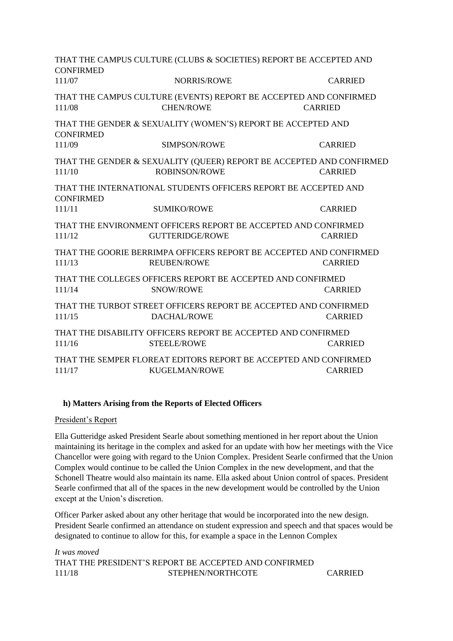THAT THE CAMPUS CULTURE (CLUBS & SOCIETIES) REPORT BE ACCEPTED AND **CONFIRMED** 111/07 NORRIS/ROWE CARRIED THAT THE CAMPUS CULTURE (EVENTS) REPORT BE ACCEPTED AND CONFIRMED 111/08 CHEN/ROWE CARRIED THAT THE GENDER & SEXUALITY (WOMEN'S) REPORT BE ACCEPTED AND **CONFIRMED** 111/09 SIMPSON/ROWE CARRIED THAT THE GENDER & SEXUALITY (QUEER) REPORT BE ACCEPTED AND CONFIRMED 111/10 ROBINSON/ROWE CARRIED THAT THE INTERNATIONAL STUDENTS OFFICERS REPORT BE ACCEPTED AND **CONFIRMED** 111/11 SUMIKO/ROWE CARRIED THAT THE ENVIRONMENT OFFICERS REPORT BE ACCEPTED AND CONFIRMED 111/12 GUTTERIDGE/ROWE CARRIED THAT THE GOORIE BERRIMPA OFFICERS REPORT BE ACCEPTED AND CONFIRMED 111/13 REUBEN/ROWE CARRIED THAT THE COLLEGES OFFICERS REPORT BE ACCEPTED AND CONFIRMED 111/14 SNOW/ROWE CARRIED THAT THE TURBOT STREET OFFICERS REPORT BE ACCEPTED AND CONFIRMED 111/15 DACHAL/ROWE CARRIED THAT THE DISABILITY OFFICERS REPORT BE ACCEPTED AND CONFIRMED 111/16 STEELE/ROWE CARRIED THAT THE SEMPER FLOREAT EDITORS REPORT BE ACCEPTED AND CONFIRMED 111/17 KUGELMAN/ROWE CARRIED

# **h) Matters Arising from the Reports of Elected Officers**

#### President's Report

Ella Gutteridge asked President Searle about something mentioned in her report about the Union maintaining its heritage in the complex and asked for an update with how her meetings with the Vice Chancellor were going with regard to the Union Complex. President Searle confirmed that the Union Complex would continue to be called the Union Complex in the new development, and that the Schonell Theatre would also maintain its name. Ella asked about Union control of spaces. President Searle confirmed that all of the spaces in the new development would be controlled by the Union except at the Union's discretion.

Officer Parker asked about any other heritage that would be incorporated into the new design. President Searle confirmed an attendance on student expression and speech and that spaces would be designated to continue to allow for this, for example a space in the Lennon Complex

*It was moved* THAT THE PRESIDENT'S REPORT BE ACCEPTED AND CONFIRMED 111/18 STEPHEN/NORTHCOTE CARRIED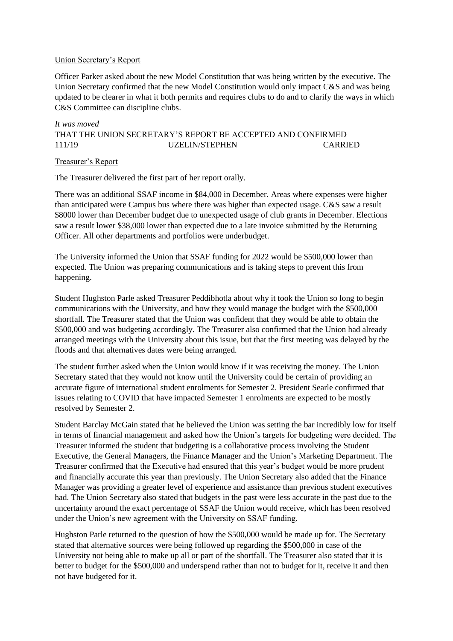#### Union Secretary's Report

Officer Parker asked about the new Model Constitution that was being written by the executive. The Union Secretary confirmed that the new Model Constitution would only impact C&S and was being updated to be clearer in what it both permits and requires clubs to do and to clarify the ways in which C&S Committee can discipline clubs.

# *It was moved* THAT THE UNION SECRETARY'S REPORT BE ACCEPTED AND CONFIRMED 111/19 UZELIN/STEPHEN CARRIED

#### Treasurer's Report

The Treasurer delivered the first part of her report orally.

There was an additional SSAF income in \$84,000 in December. Areas where expenses were higher than anticipated were Campus bus where there was higher than expected usage. C&S saw a result \$8000 lower than December budget due to unexpected usage of club grants in December. Elections saw a result lower \$38,000 lower than expected due to a late invoice submitted by the Returning Officer. All other departments and portfolios were underbudget.

The University informed the Union that SSAF funding for 2022 would be \$500,000 lower than expected. The Union was preparing communications and is taking steps to prevent this from happening.

Student Hughston Parle asked Treasurer Peddibhotla about why it took the Union so long to begin communications with the University, and how they would manage the budget with the \$500,000 shortfall. The Treasurer stated that the Union was confident that they would be able to obtain the \$500,000 and was budgeting accordingly. The Treasurer also confirmed that the Union had already arranged meetings with the University about this issue, but that the first meeting was delayed by the floods and that alternatives dates were being arranged.

The student further asked when the Union would know if it was receiving the money. The Union Secretary stated that they would not know until the University could be certain of providing an accurate figure of international student enrolments for Semester 2. President Searle confirmed that issues relating to COVID that have impacted Semester 1 enrolments are expected to be mostly resolved by Semester 2.

Student Barclay McGain stated that he believed the Union was setting the bar incredibly low for itself in terms of financial management and asked how the Union's targets for budgeting were decided. The Treasurer informed the student that budgeting is a collaborative process involving the Student Executive, the General Managers, the Finance Manager and the Union's Marketing Department. The Treasurer confirmed that the Executive had ensured that this year's budget would be more prudent and financially accurate this year than previously. The Union Secretary also added that the Finance Manager was providing a greater level of experience and assistance than previous student executives had. The Union Secretary also stated that budgets in the past were less accurate in the past due to the uncertainty around the exact percentage of SSAF the Union would receive, which has been resolved under the Union's new agreement with the University on SSAF funding.

Hughston Parle returned to the question of how the \$500,000 would be made up for. The Secretary stated that alternative sources were being followed up regarding the \$500,000 in case of the University not being able to make up all or part of the shortfall. The Treasurer also stated that it is better to budget for the \$500,000 and underspend rather than not to budget for it, receive it and then not have budgeted for it.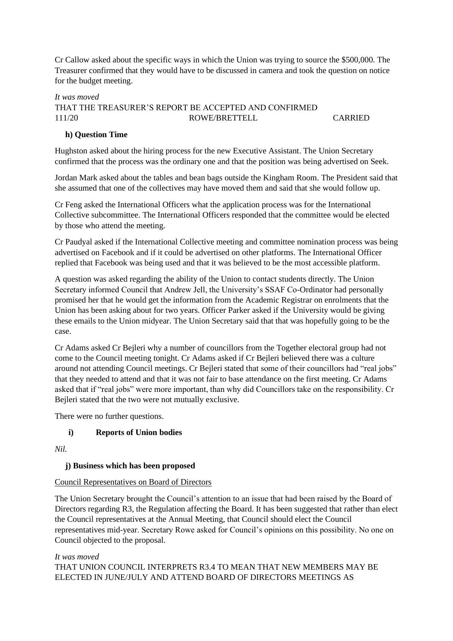Cr Callow asked about the specific ways in which the Union was trying to source the \$500,000. The Treasurer confirmed that they would have to be discussed in camera and took the question on notice for the budget meeting.

# *It was moved* THAT THE TREASURER'S REPORT BE ACCEPTED AND CONFIRMED 111/20 ROWE/BRETTELL CARRIED

# **h) Question Time**

Hughston asked about the hiring process for the new Executive Assistant. The Union Secretary confirmed that the process was the ordinary one and that the position was being advertised on Seek.

Jordan Mark asked about the tables and bean bags outside the Kingham Room. The President said that she assumed that one of the collectives may have moved them and said that she would follow up.

Cr Feng asked the International Officers what the application process was for the International Collective subcommittee. The International Officers responded that the committee would be elected by those who attend the meeting.

Cr Paudyal asked if the International Collective meeting and committee nomination process was being advertised on Facebook and if it could be advertised on other platforms. The International Officer replied that Facebook was being used and that it was believed to be the most accessible platform.

A question was asked regarding the ability of the Union to contact students directly. The Union Secretary informed Council that Andrew Jell, the University's SSAF Co-Ordinator had personally promised her that he would get the information from the Academic Registrar on enrolments that the Union has been asking about for two years. Officer Parker asked if the University would be giving these emails to the Union midyear. The Union Secretary said that that was hopefully going to be the case.

Cr Adams asked Cr Bejleri why a number of councillors from the Together electoral group had not come to the Council meeting tonight. Cr Adams asked if Cr Bejleri believed there was a culture around not attending Council meetings. Cr Bejleri stated that some of their councillors had "real jobs" that they needed to attend and that it was not fair to base attendance on the first meeting. Cr Adams asked that if "real jobs" were more important, than why did Councillors take on the responsibility. Cr Bejleri stated that the two were not mutually exclusive.

There were no further questions.

# **i) Reports of Union bodies**

*Nil.* 

# **j) Business which has been proposed**

# Council Representatives on Board of Directors

The Union Secretary brought the Council's attention to an issue that had been raised by the Board of Directors regarding R3, the Regulation affecting the Board. It has been suggested that rather than elect the Council representatives at the Annual Meeting, that Council should elect the Council representatives mid-year. Secretary Rowe asked for Council's opinions on this possibility. No one on Council objected to the proposal.

# *It was moved* THAT UNION COUNCIL INTERPRETS R3.4 TO MEAN THAT NEW MEMBERS MAY BE ELECTED IN JUNE/JULY AND ATTEND BOARD OF DIRECTORS MEETINGS AS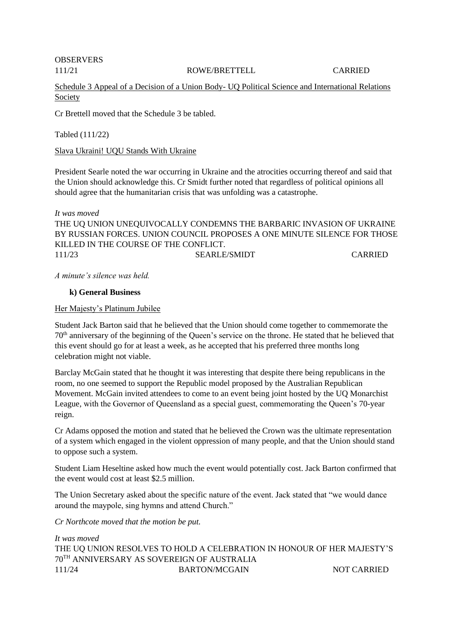OBSERVERS

111/21 ROWE/BRETTELL CARRIED

Schedule 3 Appeal of a Decision of a Union Body- UQ Political Science and International Relations Society

Cr Brettell moved that the Schedule 3 be tabled.

Tabled (111/22)

Slava Ukraini! UQU Stands With Ukraine

President Searle noted the war occurring in Ukraine and the atrocities occurring thereof and said that the Union should acknowledge this. Cr Smidt further noted that regardless of political opinions all should agree that the humanitarian crisis that was unfolding was a catastrophe.

*It was moved* THE UQ UNION UNEQUIVOCALLY CONDEMNS THE BARBARIC INVASION OF UKRAINE BY RUSSIAN FORCES. UNION COUNCIL PROPOSES A ONE MINUTE SILENCE FOR THOSE KILLED IN THE COURSE OF THE CONFLICT. 111/23 SEARLE/SMIDT CARRIED

*A minute's silence was held.* 

#### **k) General Business**

Her Majesty's Platinum Jubilee

Student Jack Barton said that he believed that the Union should come together to commemorate the 70th anniversary of the beginning of the Queen's service on the throne. He stated that he believed that this event should go for at least a week, as he accepted that his preferred three months long celebration might not viable.

Barclay McGain stated that he thought it was interesting that despite there being republicans in the room, no one seemed to support the Republic model proposed by the Australian Republican Movement. McGain invited attendees to come to an event being joint hosted by the UQ Monarchist League, with the Governor of Queensland as a special guest, commemorating the Queen's 70-year reign.

Cr Adams opposed the motion and stated that he believed the Crown was the ultimate representation of a system which engaged in the violent oppression of many people, and that the Union should stand to oppose such a system.

Student Liam Heseltine asked how much the event would potentially cost. Jack Barton confirmed that the event would cost at least \$2.5 million.

The Union Secretary asked about the specific nature of the event. Jack stated that "we would dance around the maypole, sing hymns and attend Church."

*Cr Northcote moved that the motion be put.* 

*It was moved* THE UQ UNION RESOLVES TO HOLD A CELEBRATION IN HONOUR OF HER MAJESTY'S 70TH ANNIVERSARY AS SOVEREIGN OF AUSTRALIA 111/24 BARTON/MCGAIN NOT CARRIED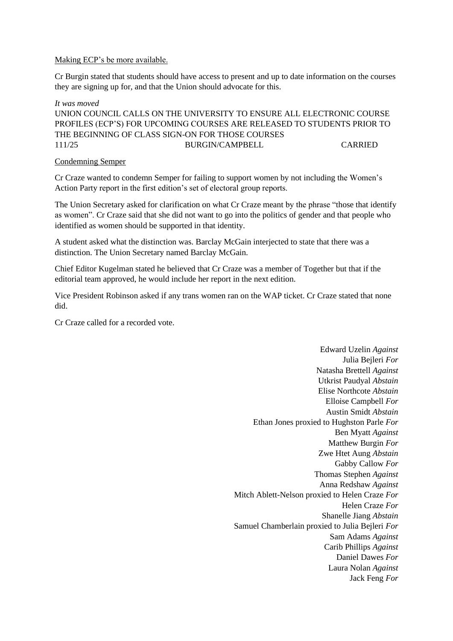#### Making ECP's be more available.

Cr Burgin stated that students should have access to present and up to date information on the courses they are signing up for, and that the Union should advocate for this.

#### *It was moved*

UNION COUNCIL CALLS ON THE UNIVERSITY TO ENSURE ALL ELECTRONIC COURSE PROFILES (ECP'S) FOR UPCOMING COURSES ARE RELEASED TO STUDENTS PRIOR TO THE BEGINNING OF CLASS SIGN-ON FOR THOSE COURSES 111/25 BURGIN/CAMPBELL CARRIED

#### Condemning Semper

Cr Craze wanted to condemn Semper for failing to support women by not including the Women's Action Party report in the first edition's set of electoral group reports.

The Union Secretary asked for clarification on what Cr Craze meant by the phrase "those that identify as women". Cr Craze said that she did not want to go into the politics of gender and that people who identified as women should be supported in that identity.

A student asked what the distinction was. Barclay McGain interjected to state that there was a distinction. The Union Secretary named Barclay McGain.

Chief Editor Kugelman stated he believed that Cr Craze was a member of Together but that if the editorial team approved, he would include her report in the next edition.

Vice President Robinson asked if any trans women ran on the WAP ticket. Cr Craze stated that none did.

Cr Craze called for a recorded vote.

Edward Uzelin *Against* Julia Bejleri *For* Natasha Brettell *Against* Utkrist Paudyal *Abstain* Elise Northcote *Abstain* Elloise Campbell *For* Austin Smidt *Abstain* Ethan Jones proxied to Hughston Parle *For* Ben Myatt *Against* Matthew Burgin *For* Zwe Htet Aung *Abstain* Gabby Callow *For* Thomas Stephen *Against* Anna Redshaw *Against* Mitch Ablett-Nelson proxied to Helen Craze *For* Helen Craze *For* Shanelle Jiang *Abstain* Samuel Chamberlain proxied to Julia Bejleri *For* Sam Adams *Against* Carib Phillips *Against* Daniel Dawes *For* Laura Nolan *Against* Jack Feng *For*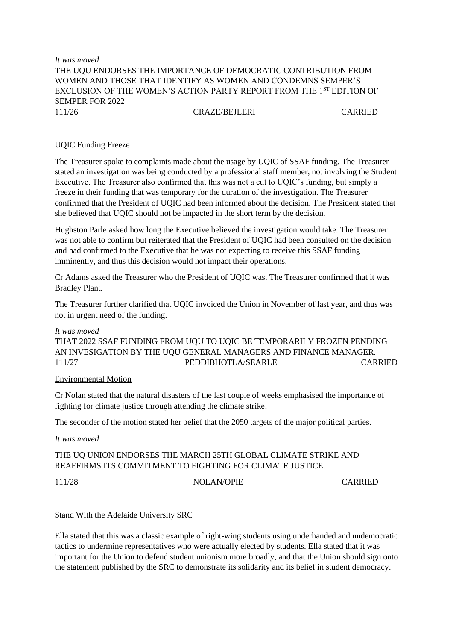### *It was moved* THE UQU ENDORSES THE IMPORTANCE OF DEMOCRATIC CONTRIBUTION FROM WOMEN AND THOSE THAT IDENTIFY AS WOMEN AND CONDEMNS SEMPER'S EXCLUSION OF THE WOMEN'S ACTION PARTY REPORT FROM THE 1<sup>ST</sup> EDITION OF SEMPER FOR 2022 111/26 CRAZE/BEJLERI CARRIED

# UQIC Funding Freeze

The Treasurer spoke to complaints made about the usage by UQIC of SSAF funding. The Treasurer stated an investigation was being conducted by a professional staff member, not involving the Student Executive. The Treasurer also confirmed that this was not a cut to UQIC's funding, but simply a freeze in their funding that was temporary for the duration of the investigation. The Treasurer confirmed that the President of UQIC had been informed about the decision. The President stated that she believed that UQIC should not be impacted in the short term by the decision.

Hughston Parle asked how long the Executive believed the investigation would take. The Treasurer was not able to confirm but reiterated that the President of UQIC had been consulted on the decision and had confirmed to the Executive that he was not expecting to receive this SSAF funding imminently, and thus this decision would not impact their operations.

Cr Adams asked the Treasurer who the President of UQIC was. The Treasurer confirmed that it was Bradley Plant.

The Treasurer further clarified that UQIC invoiced the Union in November of last year, and thus was not in urgent need of the funding.

#### *It was moved*

THAT 2022 SSAF FUNDING FROM UQU TO UQIC BE TEMPORARILY FROZEN PENDING AN INVESIGATION BY THE UQU GENERAL MANAGERS AND FINANCE MANAGER. 111/27 PEDDIBHOTLA/SEARLE CARRIED

#### Environmental Motion

Cr Nolan stated that the natural disasters of the last couple of weeks emphasised the importance of fighting for climate justice through attending the climate strike.

The seconder of the motion stated her belief that the 2050 targets of the major political parties.

*It was moved*

# THE UQ UNION ENDORSES THE MARCH 25TH GLOBAL CLIMATE STRIKE AND REAFFIRMS ITS COMMITMENT TO FIGHTING FOR CLIMATE JUSTICE.

111/28 NOLAN/OPIE CARRIED

#### Stand With the Adelaide University SRC

Ella stated that this was a classic example of right-wing students using underhanded and undemocratic tactics to undermine representatives who were actually elected by students. Ella stated that it was important for the Union to defend student unionism more broadly, and that the Union should sign onto the statement published by the SRC to demonstrate its solidarity and its belief in student democracy.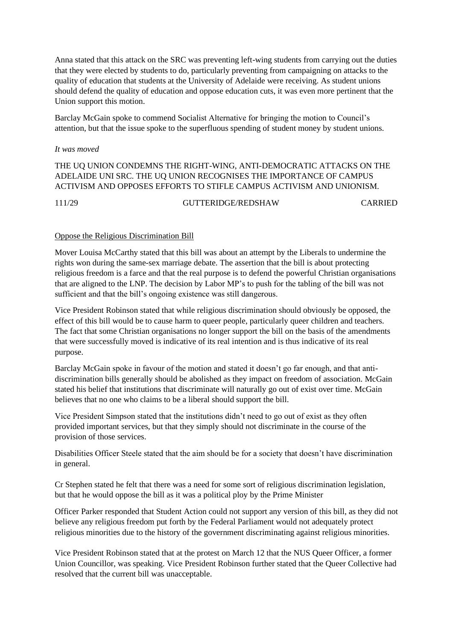Anna stated that this attack on the SRC was preventing left-wing students from carrying out the duties that they were elected by students to do, particularly preventing from campaigning on attacks to the quality of education that students at the University of Adelaide were receiving. As student unions should defend the quality of education and oppose education cuts, it was even more pertinent that the Union support this motion.

Barclay McGain spoke to commend Socialist Alternative for bringing the motion to Council's attention, but that the issue spoke to the superfluous spending of student money by student unions.

#### *It was moved*

### THE UQ UNION CONDEMNS THE RIGHT-WING, ANTI-DEMOCRATIC ATTACKS ON THE ADELAIDE UNI SRC. THE UQ UNION RECOGNISES THE IMPORTANCE OF CAMPUS ACTIVISM AND OPPOSES EFFORTS TO STIFLE CAMPUS ACTIVISM AND UNIONISM.

111/29 GUTTERIDGE/REDSHAW CARRIED

#### Oppose the Religious Discrimination Bill

Mover Louisa McCarthy stated that this bill was about an attempt by the Liberals to undermine the rights won during the same-sex marriage debate. The assertion that the bill is about protecting religious freedom is a farce and that the real purpose is to defend the powerful Christian organisations that are aligned to the LNP. The decision by Labor MP's to push for the tabling of the bill was not sufficient and that the bill's ongoing existence was still dangerous.

Vice President Robinson stated that while religious discrimination should obviously be opposed, the effect of this bill would be to cause harm to queer people, particularly queer children and teachers. The fact that some Christian organisations no longer support the bill on the basis of the amendments that were successfully moved is indicative of its real intention and is thus indicative of its real purpose.

Barclay McGain spoke in favour of the motion and stated it doesn't go far enough, and that antidiscrimination bills generally should be abolished as they impact on freedom of association. McGain stated his belief that institutions that discriminate will naturally go out of exist over time. McGain believes that no one who claims to be a liberal should support the bill.

Vice President Simpson stated that the institutions didn't need to go out of exist as they often provided important services, but that they simply should not discriminate in the course of the provision of those services.

Disabilities Officer Steele stated that the aim should be for a society that doesn't have discrimination in general.

Cr Stephen stated he felt that there was a need for some sort of religious discrimination legislation, but that he would oppose the bill as it was a political ploy by the Prime Minister

Officer Parker responded that Student Action could not support any version of this bill, as they did not believe any religious freedom put forth by the Federal Parliament would not adequately protect religious minorities due to the history of the government discriminating against religious minorities.

Vice President Robinson stated that at the protest on March 12 that the NUS Queer Officer, a former Union Councillor, was speaking. Vice President Robinson further stated that the Queer Collective had resolved that the current bill was unacceptable.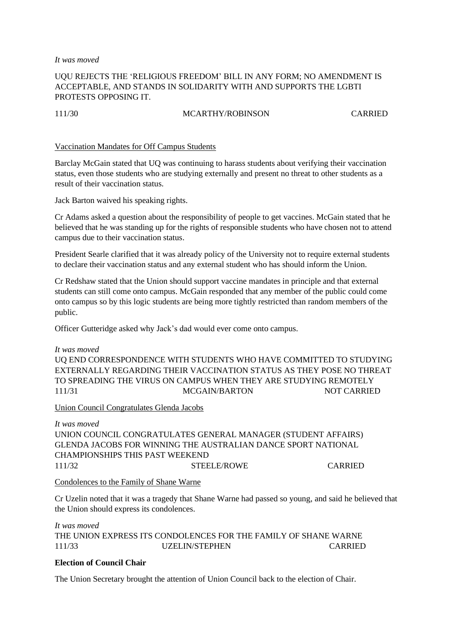*It was moved*

# UQU REJECTS THE 'RELIGIOUS FREEDOM' BILL IN ANY FORM; NO AMENDMENT IS ACCEPTABLE, AND STANDS IN SOLIDARITY WITH AND SUPPORTS THE LGBTI PROTESTS OPPOSING IT.

#### 111/30 MCARTHY/ROBINSON CARRIED

#### Vaccination Mandates for Off Campus Students

Barclay McGain stated that UQ was continuing to harass students about verifying their vaccination status, even those students who are studying externally and present no threat to other students as a result of their vaccination status.

Jack Barton waived his speaking rights.

Cr Adams asked a question about the responsibility of people to get vaccines. McGain stated that he believed that he was standing up for the rights of responsible students who have chosen not to attend campus due to their vaccination status.

President Searle clarified that it was already policy of the University not to require external students to declare their vaccination status and any external student who has should inform the Union.

Cr Redshaw stated that the Union should support vaccine mandates in principle and that external students can still come onto campus. McGain responded that any member of the public could come onto campus so by this logic students are being more tightly restricted than random members of the public.

Officer Gutteridge asked why Jack's dad would ever come onto campus.

# *It was moved* UQ END CORRESPONDENCE WITH STUDENTS WHO HAVE COMMITTED TO STUDYING EXTERNALLY REGARDING THEIR VACCINATION STATUS AS THEY POSE NO THREAT TO SPREADING THE VIRUS ON CAMPUS WHEN THEY ARE STUDYING REMOTELY 111/31 MCGAIN/BARTON NOT CARRIED

#### Union Council Congratulates Glenda Jacobs

*It was moved* UNION COUNCIL CONGRATULATES GENERAL MANAGER (STUDENT AFFAIRS) GLENDA JACOBS FOR WINNING THE AUSTRALIAN DANCE SPORT NATIONAL CHAMPIONSHIPS THIS PAST WEEKEND 111/32 STEELE/ROWE CARRIED

#### Condolences to the Family of Shane Warne

Cr Uzelin noted that it was a tragedy that Shane Warne had passed so young, and said he believed that the Union should express its condolences.

*It was moved* THE UNION EXPRESS ITS CONDOLENCES FOR THE FAMILY OF SHANE WARNE 111/33 UZELIN/STEPHEN CARRIED

# **Election of Council Chair**

The Union Secretary brought the attention of Union Council back to the election of Chair.